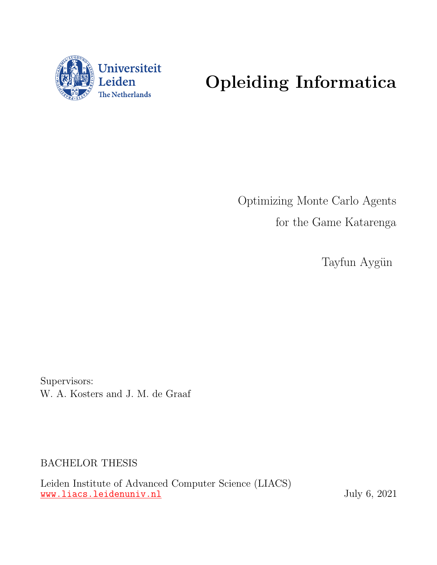

# Opleiding Informatica

Optimizing Monte Carlo Agents for the Game Katarenga

Tayfun Aygün

Supervisors: W. A. Kosters and J. M. de Graaf

BACHELOR THESIS

Leiden Institute of Advanced Computer Science (LIACS) <www.liacs.leidenuniv.nl> July 6, 2021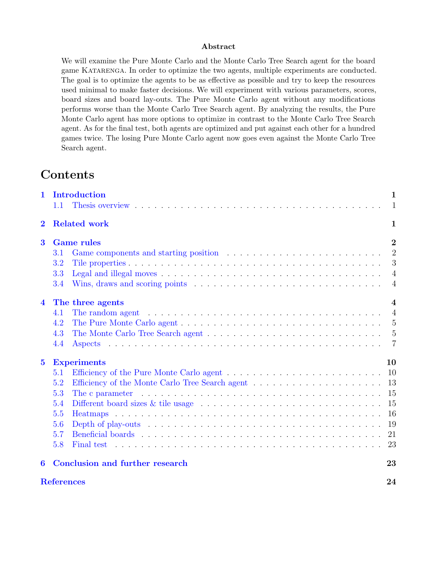#### Abstract

We will examine the Pure Monte Carlo and the Monte Carlo Tree Search agent for the board game KATARENGA. In order to optimize the two agents, multiple experiments are conducted. The goal is to optimize the agents to be as effective as possible and try to keep the resources used minimal to make faster decisions. We will experiment with various parameters, scores, board sizes and board lay-outs. The Pure Monte Carlo agent without any modifications performs worse than the Monte Carlo Tree Search agent. By analyzing the results, the Pure Monte Carlo agent has more options to optimize in contrast to the Monte Carlo Tree Search agent. As for the final test, both agents are optimized and put against each other for a hundred games twice. The losing Pure Monte Carlo agent now goes even against the Monte Carlo Tree Search agent.

# **Contents**

| $\mathbf{1}$            |                   | Introduction                                                                                                            | $\mathbf{1}$            |
|-------------------------|-------------------|-------------------------------------------------------------------------------------------------------------------------|-------------------------|
|                         | 1.1               |                                                                                                                         | $\mathbf{1}$            |
| $\overline{2}$          |                   | <b>Related work</b>                                                                                                     | $\mathbf{1}$            |
| $\bf{3}$                |                   | <b>Game rules</b>                                                                                                       | $\overline{2}$          |
|                         | 3.1               |                                                                                                                         | $\overline{2}$          |
|                         | 3.2               |                                                                                                                         | 3                       |
|                         | 3.3               |                                                                                                                         | $\overline{4}$          |
|                         | 3.4               |                                                                                                                         | $\overline{4}$          |
| $\overline{4}$          |                   | The three agents                                                                                                        | $\overline{\mathbf{4}}$ |
|                         | 4.1               | The random agent $\dots \dots \dots \dots \dots \dots \dots \dots \dots \dots \dots \dots \dots \dots$                  | $\overline{4}$          |
|                         | 4.2               | The Pure Monte Carlo agent $\dots \dots \dots \dots \dots \dots \dots \dots \dots \dots \dots \dots \dots \dots$        |                         |
|                         | 4.3               | The Monte Carlo Tree Search agent $\dots \dots \dots \dots \dots \dots \dots \dots \dots \dots \dots \dots \dots$       |                         |
|                         | 4.4               |                                                                                                                         | $\overline{7}$          |
| $\overline{\mathbf{5}}$ |                   | <b>Experiments</b>                                                                                                      | 10                      |
|                         | 5.1               |                                                                                                                         |                         |
|                         | 5.2               |                                                                                                                         |                         |
|                         | 5.3               | The c parameter $\dots \dots \dots \dots \dots \dots \dots \dots \dots \dots \dots \dots \dots \dots \dots \dots$       | -15                     |
|                         | 5.4               | Different board sizes $\&$ tile usage $\ldots \ldots \ldots \ldots \ldots \ldots \ldots \ldots \ldots \ldots \ldots 15$ |                         |
|                         | 5.5               |                                                                                                                         | 16                      |
|                         | 5.6               |                                                                                                                         | 19                      |
|                         | 5.7               |                                                                                                                         |                         |
|                         | 5.8               |                                                                                                                         |                         |
| 6                       |                   | Conclusion and further research                                                                                         | 23                      |
|                         | <b>References</b> |                                                                                                                         | 24                      |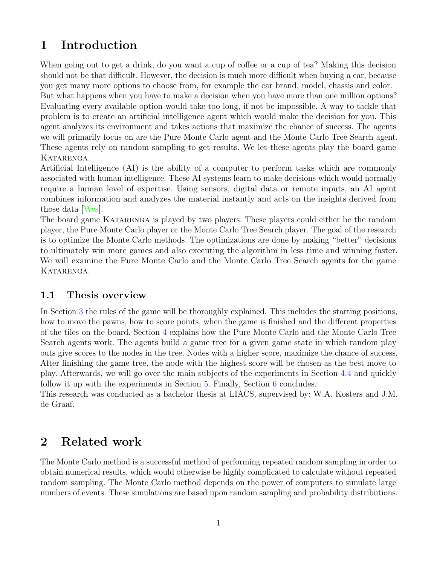## <span id="page-2-0"></span>1 Introduction

When going out to get a drink, do you want a cup of coffee or a cup of tea? Making this decision should not be that difficult. However, the decision is much more difficult when buying a car, because you get many more options to choose from, for example the car brand, model, chassis and color.

But what happens when you have to make a decision when you have more than one million options? Evaluating every available option would take too long, if not be impossible. A way to tackle that problem is to create an artificial intelligence agent which would make the decision for you. This agent analyzes its environment and takes actions that maximize the chance of success. The agents we will primarily focus on are the Pure Monte Carlo agent and the Monte Carlo Tree Search agent. These agents rely on random sampling to get results. We let these agents play the board game KATARENGA.

Artificial Intelligence (AI) is the ability of a computer to perform tasks which are commonly associated with human intelligence. These AI systems learn to make decisions which would normally require a human level of expertise. Using sensors, digital data or remote inputs, an AI agent combines information and analyzes the material instantly and acts on the insights derived from those data [\[Wes\]](#page-25-1).

The board game KATARENGA is played by two players. These players could either be the random player, the Pure Monte Carlo player or the Monte Carlo Tree Search player. The goal of the research is to optimize the Monte Carlo methods. The optimizations are done by making "better" decisions to ultimately win more games and also executing the algorithm in less time and winning faster. We will examine the Pure Monte Carlo and the Monte Carlo Tree Search agents for the game KATARENGA.

### <span id="page-2-1"></span>1.1 Thesis overview

In Section [3](#page-3-0) the rules of the game will be thoroughly explained. This includes the starting positions, how to move the pawns, how to score points, when the game is finished and the different properties of the tiles on the board. Section [4](#page-5-2) explains how the Pure Monte Carlo and the Monte Carlo Tree Search agents work. The agents build a game tree for a given game state in which random play outs give scores to the nodes in the tree. Nodes with a higher score, maximize the chance of success. After finishing the game tree, the node with the highest score will be chosen as the best move to play. Afterwards, we will go over the main subjects of the experiments in Section [4.4](#page-8-0) and quickly follow it up with the experiments in Section [5.](#page-11-0) Finally, Section [6](#page-24-1) concludes.

This research was conducted as a bachelor thesis at LIACS, supervised by: W.A. Kosters and J.M. de Graaf.

### <span id="page-2-2"></span>2 Related work

The Monte Carlo method is a successful method of performing repeated random sampling in order to obtain numerical results, which would otherwise be highly complicated to calculate without repeated random sampling. The Monte Carlo method depends on the power of computers to simulate large numbers of events. These simulations are based upon random sampling and probability distributions.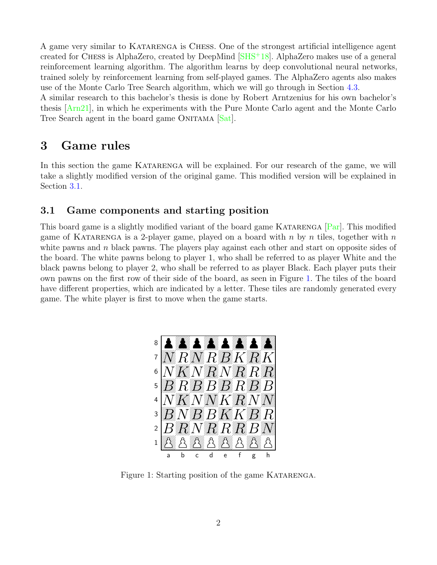A game very similar to Katarenga is Chess. One of the strongest artificial intelligence agent created for CHESS is AlphaZero, created by DeepMind  $[SHS^+18]$  $[SHS^+18]$ . AlphaZero makes use of a general reinforcement learning algorithm. The algorithm learns by deep convolutional neural networks, trained solely by reinforcement learning from self-played games. The AlphaZero agents also makes use of the Monte Carlo Tree Search algorithm, which we will go through in Section [4.3.](#page-6-1)

A similar research to this bachelor's thesis is done by Robert Arntzenius for his own bachelor's thesis [\[Arn21\]](#page-25-3), in which he experiments with the Pure Monte Carlo agent and the Monte Carlo Tree Search agent in the board game ONITAMA [\[Sat\]](#page-25-4).

### <span id="page-3-0"></span>3 Game rules

In this section the game KATARENGA will be explained. For our research of the game, we will take a slightly modified version of the original game. This modified version will be explained in Section [3.1.](#page-3-1)

### <span id="page-3-1"></span>3.1 Game components and starting position

This board game is a slightly modified variant of the board game KATARENGA [\[Par\]](#page-25-5). This modified game of KATARENGA is a 2-player game, played on a board with n by n tiles, together with  $n$ white pawns and  $n$  black pawns. The players play against each other and start on opposite sides of the board. The white pawns belong to player 1, who shall be referred to as player White and the black pawns belong to player 2, who shall be referred to as player Black. Each player puts their own pawns on the first row of their side of the board, as seen in Figure [1.](#page-3-2) The tiles of the board have different properties, which are indicated by a letter. These tiles are randomly generated every game. The white player is first to move when the game starts.



<span id="page-3-2"></span>Figure 1: Starting position of the game KATARENGA.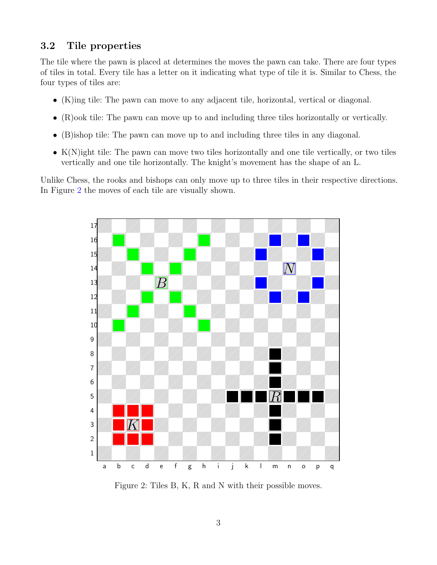### <span id="page-4-0"></span>3.2 Tile properties

The tile where the pawn is placed at determines the moves the pawn can take. There are four types of tiles in total. Every tile has a letter on it indicating what type of tile it is. Similar to Chess, the four types of tiles are:

- (K)ing tile: The pawn can move to any adjacent tile, horizontal, vertical or diagonal.
- (R)ook tile: The pawn can move up to and including three tiles horizontally or vertically.
- (B)ishop tile: The pawn can move up to and including three tiles in any diagonal.
- K(N)ight tile: The pawn can move two tiles horizontally and one tile vertically, or two tiles vertically and one tile horizontally. The knight's movement has the shape of an L.

Unlike Chess, the rooks and bishops can only move up to three tiles in their respective directions. In Figure [2](#page-4-1) the moves of each tile are visually shown.



<span id="page-4-1"></span>Figure 2: Tiles B, K, R and N with their possible moves.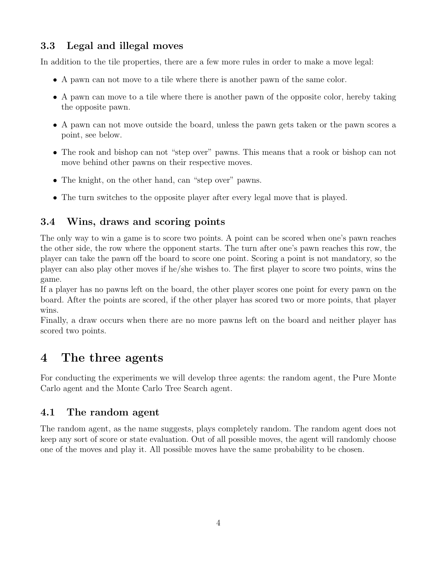### <span id="page-5-0"></span>3.3 Legal and illegal moves

In addition to the tile properties, there are a few more rules in order to make a move legal:

- A pawn can not move to a tile where there is another pawn of the same color.
- A pawn can move to a tile where there is another pawn of the opposite color, hereby taking the opposite pawn.
- A pawn can not move outside the board, unless the pawn gets taken or the pawn scores a point, see below.
- The rook and bishop can not "step over" pawns. This means that a rook or bishop can not move behind other pawns on their respective moves.
- The knight, on the other hand, can "step over" pawns.
- The turn switches to the opposite player after every legal move that is played.

### <span id="page-5-1"></span>3.4 Wins, draws and scoring points

The only way to win a game is to score two points. A point can be scored when one's pawn reaches the other side, the row where the opponent starts. The turn after one's pawn reaches this row, the player can take the pawn off the board to score one point. Scoring a point is not mandatory, so the player can also play other moves if he/she wishes to. The first player to score two points, wins the game.

If a player has no pawns left on the board, the other player scores one point for every pawn on the board. After the points are scored, if the other player has scored two or more points, that player wins.

Finally, a draw occurs when there are no more pawns left on the board and neither player has scored two points.

# <span id="page-5-2"></span>4 The three agents

For conducting the experiments we will develop three agents: the random agent, the Pure Monte Carlo agent and the Monte Carlo Tree Search agent.

### <span id="page-5-3"></span>4.1 The random agent

The random agent, as the name suggests, plays completely random. The random agent does not keep any sort of score or state evaluation. Out of all possible moves, the agent will randomly choose one of the moves and play it. All possible moves have the same probability to be chosen.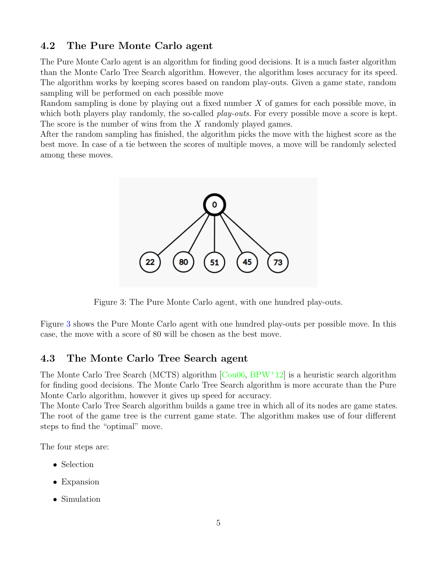### <span id="page-6-0"></span>4.2 The Pure Monte Carlo agent

The Pure Monte Carlo agent is an algorithm for finding good decisions. It is a much faster algorithm than the Monte Carlo Tree Search algorithm. However, the algorithm loses accuracy for its speed. The algorithm works by keeping scores based on random play-outs. Given a game state, random sampling will be performed on each possible move

Random sampling is done by playing out a fixed number  $X$  of games for each possible move, in which both players play randomly, the so-called *play-outs*. For every possible move a score is kept. The score is the number of wins from the X randomly played games.

After the random sampling has finished, the algorithm picks the move with the highest score as the best move. In case of a tie between the scores of multiple moves, a move will be randomly selected among these moves.



<span id="page-6-2"></span>Figure 3: The Pure Monte Carlo agent, with one hundred play-outs.

Figure [3](#page-6-2) shows the Pure Monte Carlo agent with one hundred play-outs per possible move. In this case, the move with a score of 80 will be chosen as the best move.

### <span id="page-6-1"></span>4.3 The Monte Carlo Tree Search agent

The Monte Carlo Tree Search (MCTS) algorithm [\[Cou06,](#page-25-6) [BPW](#page-25-7)<sup>+</sup>12] is a heuristic search algorithm for finding good decisions. The Monte Carlo Tree Search algorithm is more accurate than the Pure Monte Carlo algorithm, however it gives up speed for accuracy.

The Monte Carlo Tree Search algorithm builds a game tree in which all of its nodes are game states. The root of the game tree is the current game state. The algorithm makes use of four different steps to find the "optimal" move.

The four steps are:

- Selection
- Expansion
- Simulation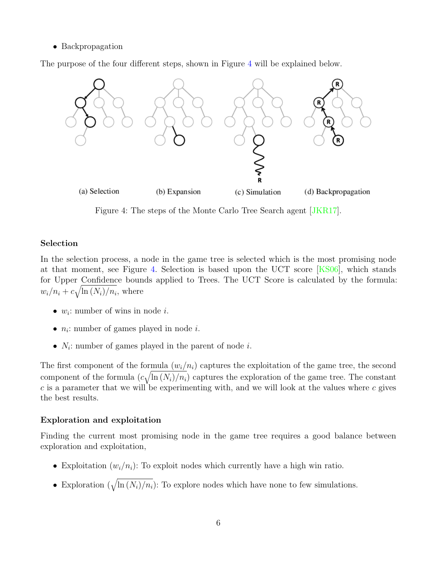#### • Backpropagation

The purpose of the four different steps, shown in Figure [4](#page-7-0) will be explained below.



<span id="page-7-0"></span>Figure 4: The steps of the Monte Carlo Tree Search agent [\[JKR17\]](#page-25-8).

#### Selection

In the selection process, a node in the game tree is selected which is the most promising node at that moment, see Figure [4.](#page-7-0) Selection is based upon the UCT score [\[KS06\]](#page-25-9), which stands for Upper Confidence bounds applied to Trees. The UCT Score is calculated by the formula:  $w_i/n_i + c\sqrt{\ln{(N_i)}/n_i}$ , where

- $w_i$ : number of wins in node *i*.
- $n_i$ : number of games played in node *i*.
- $N_i$ : number of games played in the parent of node i.

The first component of the formula  $(w_i/n_i)$  captures the exploitation of the game tree, the second component of the formula  $(c\sqrt{\ln{(N_i)}/n_i})$  captures the exploration of the game tree. The constant  $c$  is a parameter that we will be experimenting with, and we will look at the values where  $c$  gives the best results.

#### Exploration and exploitation

Finding the current most promising node in the game tree requires a good balance between exploration and exploitation,

- Exploitation  $(w_i/n_i)$ : To exploit nodes which currently have a high win ratio.
- Exploration  $(\sqrt{\ln (N_i)/n_i})$ : To explore nodes which have none to few simulations.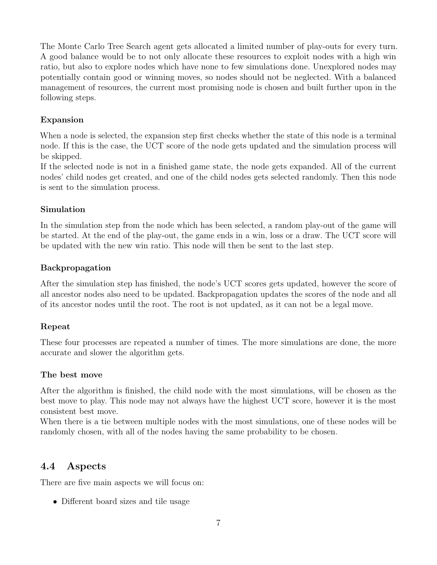The Monte Carlo Tree Search agent gets allocated a limited number of play-outs for every turn. A good balance would be to not only allocate these resources to exploit nodes with a high win ratio, but also to explore nodes which have none to few simulations done. Unexplored nodes may potentially contain good or winning moves, so nodes should not be neglected. With a balanced management of resources, the current most promising node is chosen and built further upon in the following steps.

### Expansion

When a node is selected, the expansion step first checks whether the state of this node is a terminal node. If this is the case, the UCT score of the node gets updated and the simulation process will be skipped.

If the selected node is not in a finished game state, the node gets expanded. All of the current nodes' child nodes get created, and one of the child nodes gets selected randomly. Then this node is sent to the simulation process.

### Simulation

In the simulation step from the node which has been selected, a random play-out of the game will be started. At the end of the play-out, the game ends in a win, loss or a draw. The UCT score will be updated with the new win ratio. This node will then be sent to the last step.

#### Backpropagation

After the simulation step has finished, the node's UCT scores gets updated, however the score of all ancestor nodes also need to be updated. Backpropagation updates the scores of the node and all of its ancestor nodes until the root. The root is not updated, as it can not be a legal move.

### Repeat

These four processes are repeated a number of times. The more simulations are done, the more accurate and slower the algorithm gets.

#### The best move

After the algorithm is finished, the child node with the most simulations, will be chosen as the best move to play. This node may not always have the highest UCT score, however it is the most consistent best move.

When there is a tie between multiple nodes with the most simulations, one of these nodes will be randomly chosen, with all of the nodes having the same probability to be chosen.

### <span id="page-8-0"></span>4.4 Aspects

There are five main aspects we will focus on:

• Different board sizes and tile usage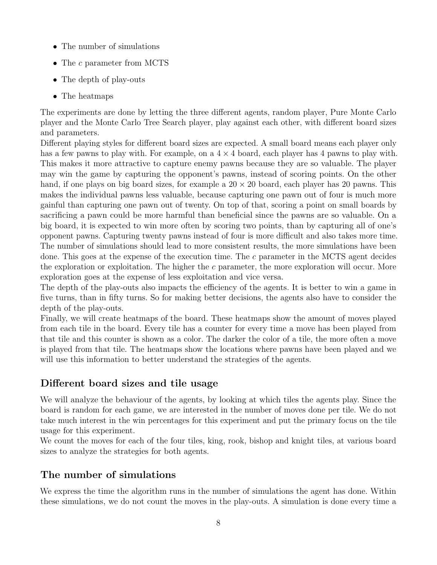- The number of simulations
- The c parameter from MCTS
- The depth of play-outs
- The heatmaps

The experiments are done by letting the three different agents, random player, Pure Monte Carlo player and the Monte Carlo Tree Search player, play against each other, with different board sizes and parameters.

Different playing styles for different board sizes are expected. A small board means each player only has a few pawns to play with. For example, on a  $4 \times 4$  board, each player has 4 pawns to play with. This makes it more attractive to capture enemy pawns because they are so valuable. The player may win the game by capturing the opponent's pawns, instead of scoring points. On the other hand, if one plays on big board sizes, for example a  $20 \times 20$  board, each player has 20 pawns. This makes the individual pawns less valuable, because capturing one pawn out of four is much more gainful than capturing one pawn out of twenty. On top of that, scoring a point on small boards by sacrificing a pawn could be more harmful than beneficial since the pawns are so valuable. On a big board, it is expected to win more often by scoring two points, than by capturing all of one's opponent pawns. Capturing twenty pawns instead of four is more difficult and also takes more time. The number of simulations should lead to more consistent results, the more simulations have been done. This goes at the expense of the execution time. The c parameter in the MCTS agent decides the exploration or exploitation. The higher the  $c$  parameter, the more exploration will occur. More exploration goes at the expense of less exploitation and vice versa.

The depth of the play-outs also impacts the efficiency of the agents. It is better to win a game in five turns, than in fifty turns. So for making better decisions, the agents also have to consider the depth of the play-outs.

Finally, we will create heatmaps of the board. These heatmaps show the amount of moves played from each tile in the board. Every tile has a counter for every time a move has been played from that tile and this counter is shown as a color. The darker the color of a tile, the more often a move is played from that tile. The heatmaps show the locations where pawns have been played and we will use this information to better understand the strategies of the agents.

### Different board sizes and tile usage

We will analyze the behaviour of the agents, by looking at which tiles the agents play. Since the board is random for each game, we are interested in the number of moves done per tile. We do not take much interest in the win percentages for this experiment and put the primary focus on the tile usage for this experiment.

We count the moves for each of the four tiles, king, rook, bishop and knight tiles, at various board sizes to analyze the strategies for both agents.

### The number of simulations

We express the time the algorithm runs in the number of simulations the agent has done. Within these simulations, we do not count the moves in the play-outs. A simulation is done every time a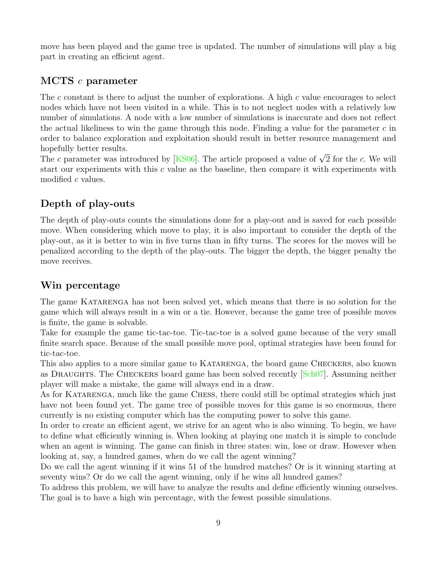move has been played and the game tree is updated. The number of simulations will play a big part in creating an efficient agent.

### MCTS c parameter

The c constant is there to adjust the number of explorations. A high c value encourages to select nodes which have not been visited in a while. This is to not neglect nodes with a relatively low number of simulations. A node with a low number of simulations is inaccurate and does not reflect the actual likeliness to win the game through this node. Finding a value for the parameter  $c$  in order to balance exploration and exploitation should result in better resource management and hopefully better results.

noperully better results.<br>The *c* parameter was introduced by [\[KS06\]](#page-25-9). The article proposed a value of  $\sqrt{2}$  for the *c*. We will start our experiments with this c value as the baseline, then compare it with experiments with modified c values.

### Depth of play-outs

The depth of play-outs counts the simulations done for a play-out and is saved for each possible move. When considering which move to play, it is also important to consider the depth of the play-out, as it is better to win in five turns than in fifty turns. The scores for the moves will be penalized according to the depth of the play-outs. The bigger the depth, the bigger penalty the move receives.

### Win percentage

The game KATARENGA has not been solved yet, which means that there is no solution for the game which will always result in a win or a tie. However, because the game tree of possible moves is finite, the game is solvable.

Take for example the game tic-tac-toe. Tic-tac-toe is a solved game because of the very small finite search space. Because of the small possible move pool, optimal strategies have been found for tic-tac-toe.

This also applies to a more similar game to KATARENGA, the board game CHECKERS, also known as DRAUGHTS. The CHECKERS board game has been solved recently [\[Sch07\]](#page-25-10). Assuming neither player will make a mistake, the game will always end in a draw.

As for Katarenga, much like the game Chess, there could still be optimal strategies which just have not been found yet. The game tree of possible moves for this game is so enormous, there currently is no existing computer which has the computing power to solve this game.

In order to create an efficient agent, we strive for an agent who is also winning. To begin, we have to define what efficiently winning is. When looking at playing one match it is simple to conclude when an agent is winning. The game can finish in three states: win, lose or draw. However when looking at, say, a hundred games, when do we call the agent winning?

Do we call the agent winning if it wins 51 of the hundred matches? Or is it winning starting at seventy wins? Or do we call the agent winning, only if he wins all hundred games?

To address this problem, we will have to analyze the results and define efficiently winning ourselves. The goal is to have a high win percentage, with the fewest possible simulations.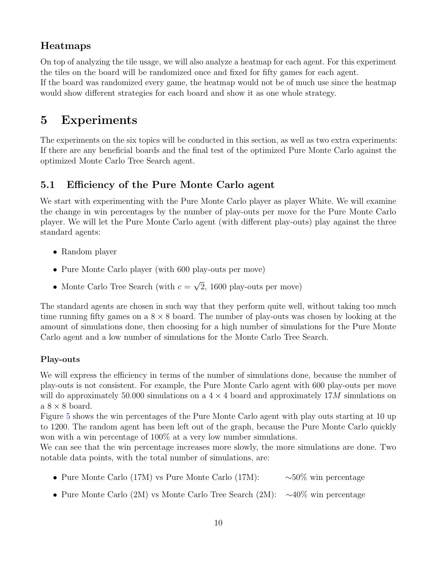### Heatmaps

On top of analyzing the tile usage, we will also analyze a heatmap for each agent. For this experiment the tiles on the board will be randomized once and fixed for fifty games for each agent. If the board was randomized every game, the heatmap would not be of much use since the heatmap would show different strategies for each board and show it as one whole strategy.

# <span id="page-11-0"></span>5 Experiments

The experiments on the six topics will be conducted in this section, as well as two extra experiments: If there are any beneficial boards and the final test of the optimized Pure Monte Carlo against the optimized Monte Carlo Tree Search agent.

### <span id="page-11-1"></span>5.1 Efficiency of the Pure Monte Carlo agent

We start with experimenting with the Pure Monte Carlo player as player White. We will examine the change in win percentages by the number of play-outs per move for the Pure Monte Carlo player. We will let the Pure Monte Carlo agent (with different play-outs) play against the three standard agents:

- Random player
- Pure Monte Carlo player (with 600 play-outs per move)
- Monte Carlo Tree Search (with  $c =$ √ 2, 1600 play-outs per move)

The standard agents are chosen in such way that they perform quite well, without taking too much time running fifty games on a  $8 \times 8$  board. The number of play-outs was chosen by looking at the amount of simulations done, then choosing for a high number of simulations for the Pure Monte Carlo agent and a low number of simulations for the Monte Carlo Tree Search.

### Play-outs

We will express the efficiency in terms of the number of simulations done, because the number of play-outs is not consistent. For example, the Pure Monte Carlo agent with 600 play-outs per move will do approximately 50.000 simulations on a  $4 \times 4$  board and approximately 17M simulations on  $a 8 \times 8$  board.

Figure [5](#page-12-0) shows the win percentages of the Pure Monte Carlo agent with play outs starting at 10 up to 1200. The random agent has been left out of the graph, because the Pure Monte Carlo quickly won with a win percentage of 100% at a very low number simulations.

We can see that the win percentage increases more slowly, the more simulations are done. Two notable data points, with the total number of simulations, are:

- Pure Monte Carlo (17M) vs Pure Monte Carlo (17M): ∼50% win percentage
- Pure Monte Carlo (2M) vs Monte Carlo Tree Search (2M): ∼40% win percentage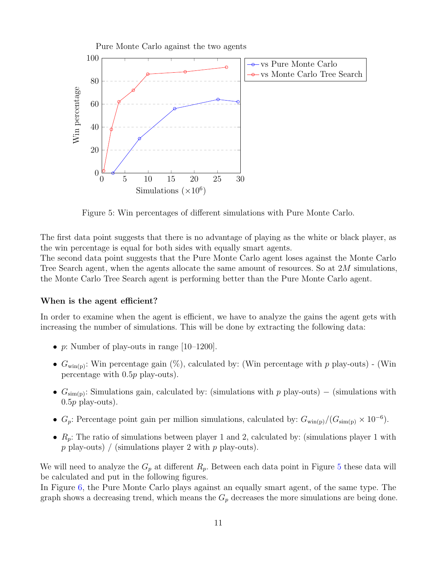

<span id="page-12-0"></span>Figure 5: Win percentages of different simulations with Pure Monte Carlo.

The first data point suggests that there is no advantage of playing as the white or black player, as the win percentage is equal for both sides with equally smart agents.

The second data point suggests that the Pure Monte Carlo agent loses against the Monte Carlo Tree Search agent, when the agents allocate the same amount of resources. So at 2M simulations, the Monte Carlo Tree Search agent is performing better than the Pure Monte Carlo agent.

#### When is the agent efficient?

In order to examine when the agent is efficient, we have to analyze the gains the agent gets with increasing the number of simulations. This will be done by extracting the following data:

- p: Number of play-outs in range  $[10-1200]$ .
- $G_{\text{win}(p)}$ : Win percentage gain  $(\%)$ , calculated by: (Win percentage with p play-outs) (Win percentage with 0.5p play-outs).
- $G_{\text{sim}(p)}$ : Simulations gain, calculated by: (simulations with p play-outs) (simulations with  $0.5p$  play-outs).
- $G_p$ : Percentage point gain per million simulations, calculated by:  $G_{\text{win}(p)}/(G_{\text{sim}(p)} \times 10^{-6})$ .
- $R_p$ : The ratio of simulations between player 1 and 2, calculated by: (simulations player 1 with  $p$  play-outs) / (simulations player 2 with  $p$  play-outs).

We will need to analyze the  $G_p$  at different  $R_p$ . Between each data point in Figure [5](#page-12-0) these data will be calculated and put in the following figures.

In Figure [6,](#page-13-0) the Pure Monte Carlo plays against an equally smart agent, of the same type. The graph shows a decreasing trend, which means the  $G_p$  decreases the more simulations are being done.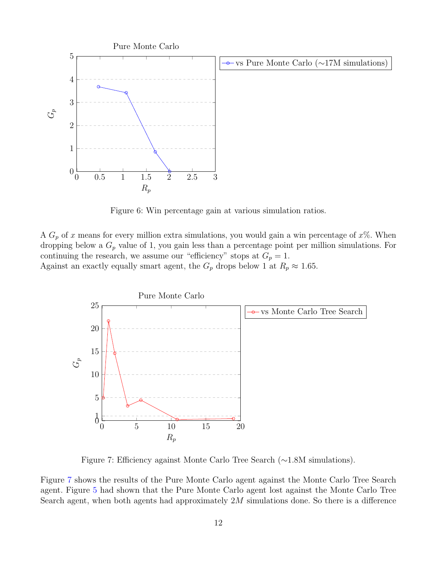

<span id="page-13-0"></span>Figure 6: Win percentage gain at various simulation ratios.

A  $G_p$  of x means for every million extra simulations, you would gain a win percentage of  $x\%$ . When dropping below a  $G_p$  value of 1, you gain less than a percentage point per million simulations. For continuing the research, we assume our "efficiency" stops at  $G_p = 1$ . Against an exactly equally smart agent, the  $G_p$  drops below 1 at  $R_p \approx 1.65$ .



<span id="page-13-1"></span>Figure 7: Efficiency against Monte Carlo Tree Search (∼1.8M simulations).

Figure [7](#page-13-1) shows the results of the Pure Monte Carlo agent against the Monte Carlo Tree Search agent. Figure [5](#page-12-0) had shown that the Pure Monte Carlo agent lost against the Monte Carlo Tree Search agent, when both agents had approximately  $2M$  simulations done. So there is a difference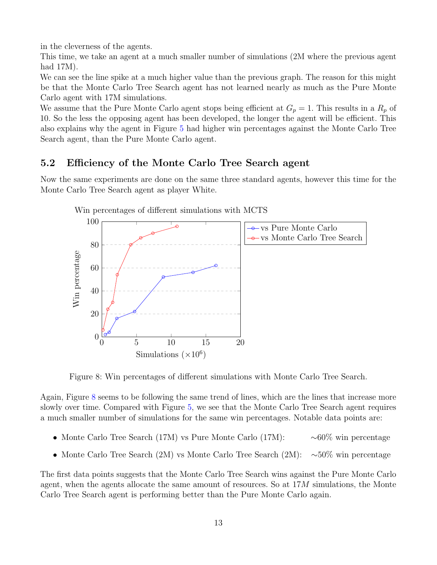in the cleverness of the agents.

This time, we take an agent at a much smaller number of simulations (2M where the previous agent had 17M).

We can see the line spike at a much higher value than the previous graph. The reason for this might be that the Monte Carlo Tree Search agent has not learned nearly as much as the Pure Monte Carlo agent with 17M simulations.

We assume that the Pure Monte Carlo agent stops being efficient at  $G_p = 1$ . This results in a  $R_p$  of 10. So the less the opposing agent has been developed, the longer the agent will be efficient. This also explains why the agent in Figure [5](#page-12-0) had higher win percentages against the Monte Carlo Tree Search agent, than the Pure Monte Carlo agent.

### <span id="page-14-0"></span>5.2 Efficiency of the Monte Carlo Tree Search agent

Now the same experiments are done on the same three standard agents, however this time for the Monte Carlo Tree Search agent as player White.



Win percentages of different simulations with MCTS

<span id="page-14-1"></span>Figure 8: Win percentages of different simulations with Monte Carlo Tree Search.

Again, Figure [8](#page-14-1) seems to be following the same trend of lines, which are the lines that increase more slowly over time. Compared with Figure [5,](#page-12-0) we see that the Monte Carlo Tree Search agent requires a much smaller number of simulations for the same win percentages. Notable data points are:

- Monte Carlo Tree Search (17M) vs Pure Monte Carlo (17M): ∼60% win percentage
- Monte Carlo Tree Search (2M) vs Monte Carlo Tree Search (2M): ∼50% win percentage

The first data points suggests that the Monte Carlo Tree Search wins against the Pure Monte Carlo agent, when the agents allocate the same amount of resources. So at  $17M$  simulations, the Monte Carlo Tree Search agent is performing better than the Pure Monte Carlo again.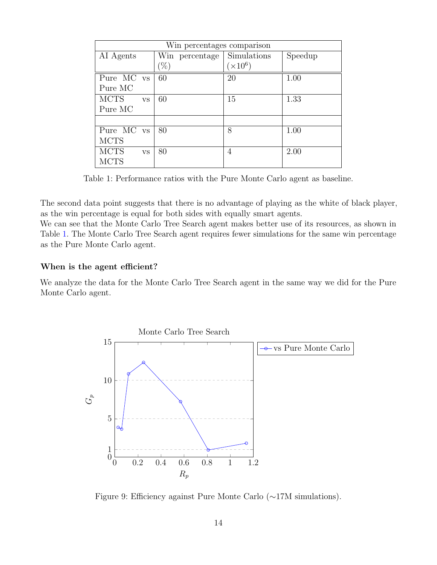| Win percentages comparison |                |                 |         |  |  |  |  |
|----------------------------|----------------|-----------------|---------|--|--|--|--|
| AI Agents                  | Win percentage | Simulations     | Speedup |  |  |  |  |
|                            | '%)            | $(\times 10^6)$ |         |  |  |  |  |
| Pure MC vs                 | 60             | 20              | 1.00    |  |  |  |  |
| Pure MC                    |                |                 |         |  |  |  |  |
| <b>MCTS</b><br><b>VS</b>   | 60             | 15              | 1.33    |  |  |  |  |
| Pure MC                    |                |                 |         |  |  |  |  |
|                            |                |                 |         |  |  |  |  |
| Pure MC vs                 | 80             | 8               | 1.00    |  |  |  |  |
| <b>MCTS</b>                |                |                 |         |  |  |  |  |
| <b>MCTS</b><br><b>VS</b>   | 80             | $\overline{4}$  | 2.00    |  |  |  |  |
| <b>MCTS</b>                |                |                 |         |  |  |  |  |

<span id="page-15-0"></span>Table 1: Performance ratios with the Pure Monte Carlo agent as baseline.

The second data point suggests that there is no advantage of playing as the white of black player, as the win percentage is equal for both sides with equally smart agents.

We can see that the Monte Carlo Tree Search agent makes better use of its resources, as shown in Table [1.](#page-15-0) The Monte Carlo Tree Search agent requires fewer simulations for the same win percentage as the Pure Monte Carlo agent.

#### When is the agent efficient?

We analyze the data for the Monte Carlo Tree Search agent in the same way we did for the Pure Monte Carlo agent.



Figure 9: Efficiency against Pure Monte Carlo (∼17M simulations).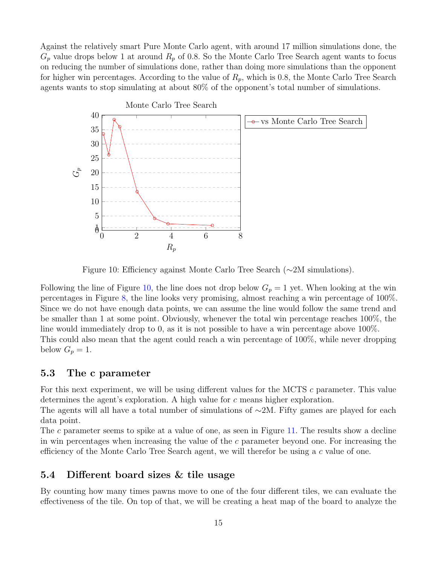Against the relatively smart Pure Monte Carlo agent, with around 17 million simulations done, the  $G_p$  value drops below 1 at around  $R_p$  of 0.8. So the Monte Carlo Tree Search agent wants to focus on reducing the number of simulations done, rather than doing more simulations than the opponent for higher win percentages. According to the value of  $R_p$ , which is 0.8, the Monte Carlo Tree Search agents wants to stop simulating at about 80% of the opponent's total number of simulations.



<span id="page-16-2"></span>Figure 10: Efficiency against Monte Carlo Tree Search (∼2M simulations).

Following the line of Figure [10,](#page-16-2) the line does not drop below  $G_p = 1$  yet. When looking at the win percentages in Figure [8,](#page-14-1) the line looks very promising, almost reaching a win percentage of 100%. Since we do not have enough data points, we can assume the line would follow the same trend and be smaller than 1 at some point. Obviously, whenever the total win percentage reaches 100%, the line would immediately drop to 0, as it is not possible to have a win percentage above 100%. This could also mean that the agent could reach a win percentage of 100%, while never dropping below  $G_p = 1$ .

#### <span id="page-16-0"></span>5.3 The c parameter

For this next experiment, we will be using different values for the MCTS c parameter. This value determines the agent's exploration. A high value for c means higher exploration.

The agents will all have a total number of simulations of  $\sim$ 2M. Fifty games are played for each data point.

The c parameter seems to spike at a value of one, as seen in Figure [11.](#page-17-1) The results show a decline in win percentages when increasing the value of the  $c$  parameter beyond one. For increasing the efficiency of the Monte Carlo Tree Search agent, we will therefor be using a c value of one.

#### <span id="page-16-1"></span>5.4 Different board sizes & tile usage

By counting how many times pawns move to one of the four different tiles, we can evaluate the effectiveness of the tile. On top of that, we will be creating a heat map of the board to analyze the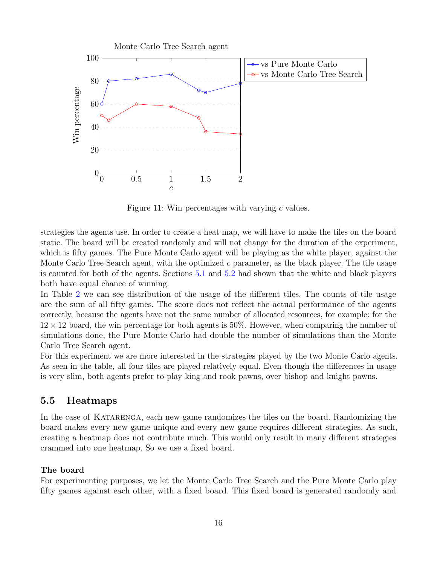

<span id="page-17-1"></span>Figure 11: Win percentages with varying c values.

strategies the agents use. In order to create a heat map, we will have to make the tiles on the board static. The board will be created randomly and will not change for the duration of the experiment, which is fifty games. The Pure Monte Carlo agent will be playing as the white player, against the Monte Carlo Tree Search agent, with the optimized  $c$  parameter, as the black player. The tile usage is counted for both of the agents. Sections [5.1](#page-11-1) and [5.2](#page-14-0) had shown that the white and black players both have equal chance of winning.

In Table [2](#page-18-0) we can see distribution of the usage of the different tiles. The counts of tile usage are the sum of all fifty games. The score does not reflect the actual performance of the agents correctly, because the agents have not the same number of allocated resources, for example: for the  $12 \times 12$  board, the win percentage for both agents is 50%. However, when comparing the number of simulations done, the Pure Monte Carlo had double the number of simulations than the Monte Carlo Tree Search agent.

For this experiment we are more interested in the strategies played by the two Monte Carlo agents. As seen in the table, all four tiles are played relatively equal. Even though the differences in usage is very slim, both agents prefer to play king and rook pawns, over bishop and knight pawns.

#### <span id="page-17-0"></span>5.5 Heatmaps

In the case of Katarenga, each new game randomizes the tiles on the board. Randomizing the board makes every new game unique and every new game requires different strategies. As such, creating a heatmap does not contribute much. This would only result in many different strategies crammed into one heatmap. So we use a fixed board.

#### The board

For experimenting purposes, we let the Monte Carlo Tree Search and the Pure Monte Carlo play fifty games against each other, with a fixed board. This fixed board is generated randomly and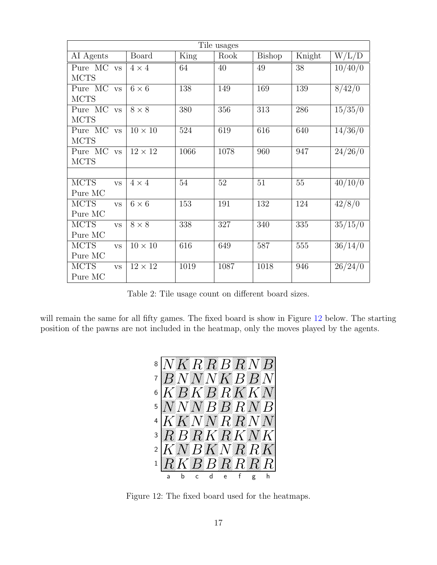| Tile usages              |                |      |      |               |        |                   |  |
|--------------------------|----------------|------|------|---------------|--------|-------------------|--|
| AI Agents                | Board          | King | Rook | <b>Bishop</b> | Knight | W/L/D             |  |
| Pure MC<br><b>VS</b>     | $4 \times 4$   | 64   | 40   | 49            | 38     | 10/40/0           |  |
| <b>MCTS</b>              |                |      |      |               |        |                   |  |
| Pure MC vs               | $6 \times 6$   | 138  | 149  | 169           | 139    | 8/42/0            |  |
| <b>MCTS</b>              |                |      |      |               |        |                   |  |
| Pure MC<br><b>VS</b>     | $8 \times 8$   | 380  | 356  | 313           | 286    | $\frac{15}{35/0}$ |  |
| <b>MCTS</b>              |                |      |      |               |        |                   |  |
| Pure MC<br><b>VS</b>     | $10 \times 10$ | 524  | 619  | 616           | 640    | 14/36/0           |  |
| <b>MCTS</b>              |                |      |      |               |        |                   |  |
| Pure MC<br><b>VS</b>     | $12 \times 12$ | 1066 | 1078 | 960           | 947    | 24/26/0           |  |
| <b>MCTS</b>              |                |      |      |               |        |                   |  |
|                          |                |      |      |               |        |                   |  |
| <b>MCTS</b><br><b>VS</b> | $4 \times 4$   | 54   | 52   | 51            | 55     | 40/10/0           |  |
| Pure MC                  |                |      |      |               |        |                   |  |
| <b>MCTS</b><br><b>VS</b> | $6 \times 6$   | 153  | 191  | 132           | 124    | 42/8/0            |  |
| Pure MC                  |                |      |      |               |        |                   |  |
| <b>MCTS</b><br><b>VS</b> | $8 \times 8$   | 338  | 327  | 340           | 335    | 35/15/0           |  |
| Pure MC                  |                |      |      |               |        |                   |  |
| <b>MCTS</b><br><b>VS</b> | $10\times10$   | 616  | 649  | 587           | 555    | 36/14/0           |  |
| Pure MC                  |                |      |      |               |        |                   |  |
| <b>MCTS</b><br><b>VS</b> | $12 \times 12$ | 1019 | 1087 | 1018          | 946    | 26/24/0           |  |
| Pure MC                  |                |      |      |               |        |                   |  |

<span id="page-18-0"></span>Table 2: Tile usage count on different board sizes.

will remain the same for all fifty games. The fixed board is show in Figure [12](#page-18-1) below. The starting position of the pawns are not included in the heatmap, only the moves played by the agents.



<span id="page-18-1"></span>Figure 12: The fixed board used for the heatmaps.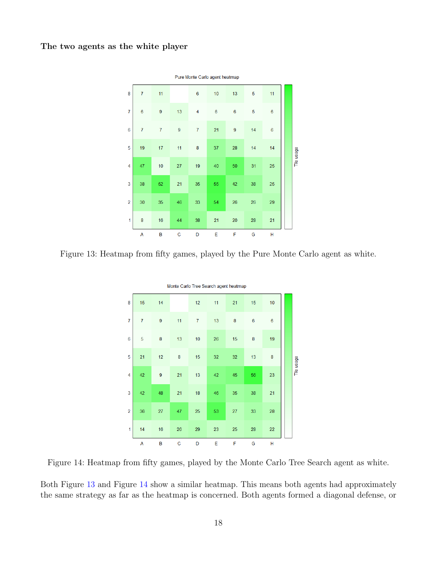#### The two agents as the white player



<span id="page-19-0"></span>Figure 13: Heatmap from fifty games, played by the Pure Monte Carlo agent as white.

|                | Monte Carlo Tree Search agent heatmap |                |    |                |    |    |                |                 |  |            |
|----------------|---------------------------------------|----------------|----|----------------|----|----|----------------|-----------------|--|------------|
| 8              | 15                                    | 14             |    | 12             | 11 | 21 | 15             | 10              |  |            |
| $\overline{7}$ | $\overline{7}$                        | $\overline{9}$ | 11 | $\overline{7}$ | 13 | 8  | $\overline{6}$ | $6\phantom{1}6$ |  |            |
| 6              | 5                                     | 8              | 13 | 10             | 26 | 15 | 8              | 19              |  |            |
| 5              | 21                                    | 12             | 8  | 15             | 32 | 32 | 13             | 8               |  | Tile usage |
| 4              | 42                                    | $\overline{9}$ | 21 | 13             | 42 | 45 | 56             | 23              |  |            |
| 3              | 42                                    | 48             | 21 | 18             | 46 | 35 | 38             | 21              |  |            |
| $\overline{2}$ | 36                                    | 27             | 47 | 25             | 53 | 27 | 33             | 28              |  |            |
| 1              | 14                                    | 16             | 26 | 29             | 23 | 25 | 28             | 22              |  |            |
|                | Α                                     | B              | C  | D              | Е  | F  | G              | н               |  |            |

<span id="page-19-1"></span>Figure 14: Heatmap from fifty games, played by the Monte Carlo Tree Search agent as white.

Both Figure [13](#page-19-0) and Figure [14](#page-19-1) show a similar heatmap. This means both agents had approximately the same strategy as far as the heatmap is concerned. Both agents formed a diagonal defense, or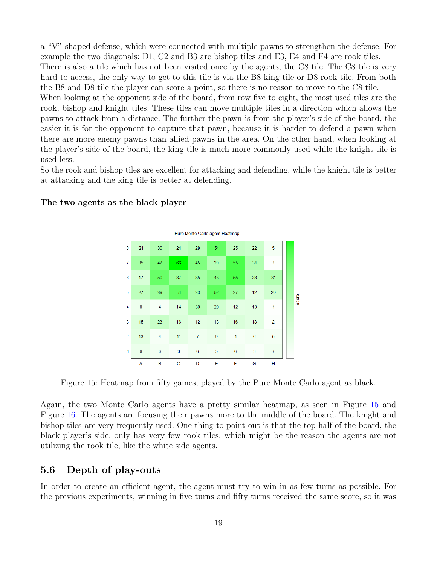a "V" shaped defense, which were connected with multiple pawns to strengthen the defense. For example the two diagonals: D1, C2 and B3 are bishop tiles and E3, E4 and F4 are rook tiles. There is also a tile which has not been visited once by the agents, the C8 tile. The C8 tile is very hard to access, the only way to get to this tile is via the B8 king tile or D8 rook tile. From both the B8 and D8 tile the player can score a point, so there is no reason to move to the C8 tile. When looking at the opponent side of the board, from row five to eight, the most used tiles are the rook, bishop and knight tiles. These tiles can move multiple tiles in a direction which allows the pawns to attack from a distance. The further the pawn is from the player's side of the board, the easier it is for the opponent to capture that pawn, because it is harder to defend a pawn when there are more enemy pawns than allied pawns in the area. On the other hand, when looking at the player's side of the board, the king tile is much more commonly used while the knight tile is used less.

So the rook and bishop tiles are excellent for attacking and defending, while the knight tile is better at attacking and the king tile is better at defending.

|                | Pure Monte Carlo agent Heatmap |                  |    |    |    |    |    |                |  |       |
|----------------|--------------------------------|------------------|----|----|----|----|----|----------------|--|-------|
| 8              | 21                             | 30               | 24 | 28 | 51 | 25 | 22 | 5              |  |       |
| $\overline{7}$ | 35                             | 47               | 66 | 45 | 29 | 55 | 31 | 1              |  |       |
| 6              | 17                             | 50               | 37 | 35 | 43 | 55 | 28 | 31             |  |       |
| 5              | 27                             | 38               | 51 | 33 | 52 | 37 | 12 | 20             |  | Score |
| $\overline{4}$ | 8                              | $\overline{4}$   | 14 | 30 | 20 | 12 | 13 | 1              |  |       |
| 3              | 15                             | 23               | 16 | 12 | 13 | 16 | 13 | $\overline{2}$ |  |       |
| $\overline{2}$ | 13                             | 4                | 11 | 7  | 9  | 4  | 6  | 5              |  |       |
| 1              | 9                              | $\boldsymbol{6}$ | 3  | 6  | 5  | 6  | 3  | $\overline{7}$ |  |       |
|                | A                              | в                | C  | D  | Е  | F  | G  | н              |  |       |

#### The two agents as the black player

<span id="page-20-1"></span>Figure 15: Heatmap from fifty games, played by the Pure Monte Carlo agent as black.

Again, the two Monte Carlo agents have a pretty similar heatmap, as seen in Figure [15](#page-20-1) and Figure [16.](#page-21-0) The agents are focusing their pawns more to the middle of the board. The knight and bishop tiles are very frequently used. One thing to point out is that the top half of the board, the black player's side, only has very few rook tiles, which might be the reason the agents are not utilizing the rook tile, like the white side agents.

#### <span id="page-20-0"></span>5.6 Depth of play-outs

In order to create an efficient agent, the agent must try to win in as few turns as possible. For the previous experiments, winning in five turns and fifty turns received the same score, so it was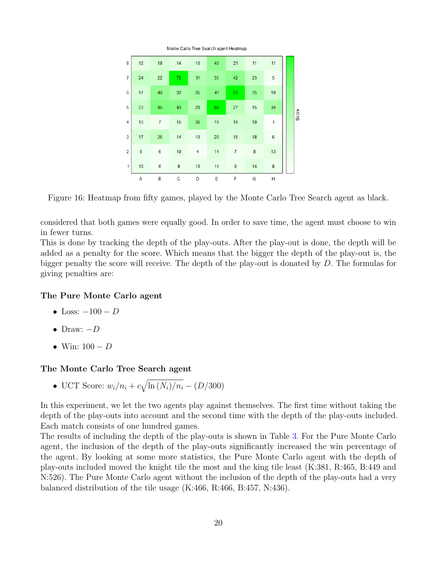

<span id="page-21-0"></span>Figure 16: Heatmap from fifty games, played by the Monte Carlo Tree Search agent as black.

considered that both games were equally good. In order to save time, the agent must choose to win in fewer turns.

This is done by tracking the depth of the play-outs. After the play-out is done, the depth will be added as a penalty for the score. Which means that the bigger the depth of the play-out is, the bigger penalty the score will receive. The depth of the play-out is donated by D. The formulas for giving penalties are:

#### The Pure Monte Carlo agent

- Loss:  $-100 D$
- Draw:  $-D$
- Win:  $100 D$

#### The Monte Carlo Tree Search agent

• UCT Score:  $w_i/n_i + c\sqrt{\ln{(N_i)}/n_i} - (D/300)$ 

In this experiment, we let the two agents play against themselves. The first time without taking the depth of the play-outs into account and the second time with the depth of the play-outs included. Each match consists of one hundred games.

The results of including the depth of the play-outs is shown in Table [3.](#page-22-1) For the Pure Monte Carlo agent, the inclusion of the depth of the play-outs significantly increased the win percentage of the agent. By looking at some more statistics, the Pure Monte Carlo agent with the depth of play-outs included moved the knight tile the most and the king tile least (K:381, R:465, B:449 and N:526). The Pure Monte Carlo agent without the inclusion of the depth of the play-outs had a very balanced distribution of the tile usage (K:466, R:466, B:457, N:436).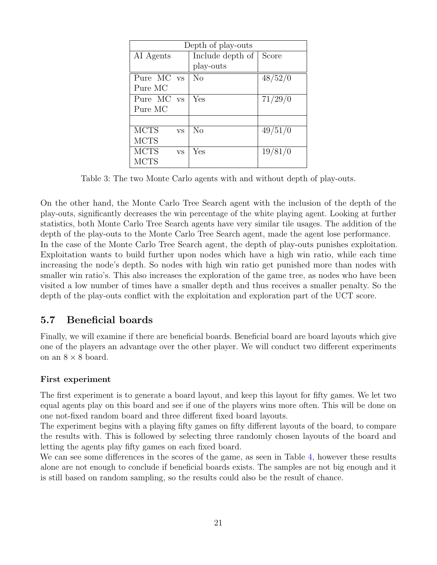| Depth of play-outs |           |                  |                  |  |  |  |
|--------------------|-----------|------------------|------------------|--|--|--|
| AI Agents          |           | Include depth of | Score            |  |  |  |
|                    |           | play-outs        |                  |  |  |  |
| Pure MC vs         |           | N <sub>o</sub>   | 48/52/0          |  |  |  |
| Pure MC            |           |                  |                  |  |  |  |
| Pure MC vs         |           | Yes              | $\sqrt{71}/29/0$ |  |  |  |
| Pure MC            |           |                  |                  |  |  |  |
|                    |           |                  |                  |  |  |  |
| <b>MCTS</b>        | <b>VS</b> | N <sub>0</sub>   | 49/51/0          |  |  |  |
| <b>MCTS</b>        |           |                  |                  |  |  |  |
| <b>MCTS</b>        | <b>VS</b> | Yes              | 19/81/0          |  |  |  |
| <b>MCTS</b>        |           |                  |                  |  |  |  |

<span id="page-22-1"></span>Table 3: The two Monte Carlo agents with and without depth of play-outs.

On the other hand, the Monte Carlo Tree Search agent with the inclusion of the depth of the play-outs, significantly decreases the win percentage of the white playing agent. Looking at further statistics, both Monte Carlo Tree Search agents have very similar tile usages. The addition of the depth of the play-outs to the Monte Carlo Tree Search agent, made the agent lose performance. In the case of the Monte Carlo Tree Search agent, the depth of play-outs punishes exploitation. Exploitation wants to build further upon nodes which have a high win ratio, while each time increasing the node's depth. So nodes with high win ratio get punished more than nodes with smaller win ratio's. This also increases the exploration of the game tree, as nodes who have been visited a low number of times have a smaller depth and thus receives a smaller penalty. So the depth of the play-outs conflict with the exploitation and exploration part of the UCT score.

### <span id="page-22-0"></span>5.7 Beneficial boards

Finally, we will examine if there are beneficial boards. Beneficial board are board layouts which give one of the players an advantage over the other player. We will conduct two different experiments on an  $8 \times 8$  board.

#### First experiment

The first experiment is to generate a board layout, and keep this layout for fifty games. We let two equal agents play on this board and see if one of the players wins more often. This will be done on one not-fixed random board and three different fixed board layouts.

The experiment begins with a playing fifty games on fifty different layouts of the board, to compare the results with. This is followed by selecting three randomly chosen layouts of the board and letting the agents play fifty games on each fixed board.

We can see some differences in the scores of the game, as seen in Table [4,](#page-23-0) however these results alone are not enough to conclude if beneficial boards exists. The samples are not big enough and it is still based on random sampling, so the results could also be the result of chance.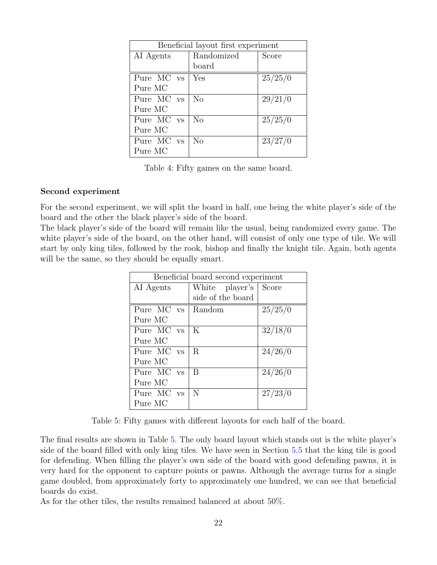| Beneficial layout first experiment |                  |                     |  |  |  |  |
|------------------------------------|------------------|---------------------|--|--|--|--|
| AI Agents                          | Randomized       | Score               |  |  |  |  |
|                                    | board            |                     |  |  |  |  |
| Pure MC vs                         | Yes              | 25/25/0             |  |  |  |  |
| Pure MC                            |                  |                     |  |  |  |  |
| Pure MC vs                         | N <sub>0</sub>   | 29/21/0             |  |  |  |  |
| Pure MC                            |                  |                     |  |  |  |  |
| Pure MC vs                         | $\rm N_{\Omega}$ | $\sqrt{25}/25/0$    |  |  |  |  |
| Pure MC                            |                  |                     |  |  |  |  |
| Pure MC vs                         | $\rm N_{\Omega}$ | $\frac{1}{2}3/27/0$ |  |  |  |  |
| Pure MC                            |                  |                     |  |  |  |  |

<span id="page-23-0"></span>Table 4: Fifty games on the same board.

#### Second experiment

For the second experiment, we will split the board in half, one being the white player's side of the board and the other the black player's side of the board.

The black player's side of the board will remain like the usual, being randomized every game. The white player's side of the board, on the other hand, will consist of only one type of tile. We will start by only king tiles, followed by the rook, bishop and finally the knight tile. Again, both agents will be the same, so they should be equally smart.

| Beneficial board second experiment |                   |         |  |  |  |
|------------------------------------|-------------------|---------|--|--|--|
| AI Agents                          | White player's    | Score   |  |  |  |
|                                    | side of the board |         |  |  |  |
| Pure MC vs                         | Random            | 25/25/0 |  |  |  |
| Pure MC                            |                   |         |  |  |  |
| Pure MC vs                         | K                 | 32/18/0 |  |  |  |
| Pure MC                            |                   |         |  |  |  |
| Pure MC vs                         | R                 | 24/26/0 |  |  |  |
| Pure MC                            |                   |         |  |  |  |
| Pure MC vs                         | B                 | 24/26/0 |  |  |  |
| Pure MC                            |                   |         |  |  |  |
| Pure MC vs                         | N                 | 27/23/0 |  |  |  |
| Pure MC                            |                   |         |  |  |  |

<span id="page-23-1"></span>Table 5: Fifty games with different layouts for each half of the board.

The final results are shown in Table [5.](#page-23-1) The only board layout which stands out is the white player's side of the board filled with only king tiles. We have seen in Section [5.5](#page-17-0) that the king tile is good for defending. When filling the player's own side of the board with good defending pawns, it is very hard for the opponent to capture points or pawns. Although the average turns for a single game doubled, from approximately forty to approximately one hundred, we can see that beneficial boards do exist.

As for the other tiles, the results remained balanced at about 50%.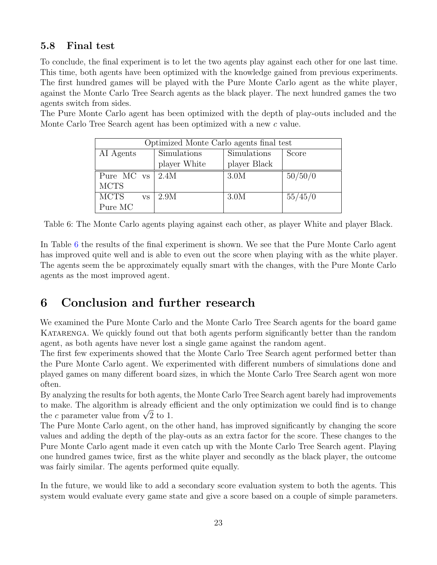### <span id="page-24-0"></span>5.8 Final test

To conclude, the final experiment is to let the two agents play against each other for one last time. This time, both agents have been optimized with the knowledge gained from previous experiments. The first hundred games will be played with the Pure Monte Carlo agent as the white player, against the Monte Carlo Tree Search agents as the black player. The next hundred games the two agents switch from sides.

The Pure Monte Carlo agent has been optimized with the depth of play-outs included and the Monte Carlo Tree Search agent has been optimized with a new c value.

| Optimized Monte Carlo agents final test |                            |              |         |  |  |  |  |  |  |
|-----------------------------------------|----------------------------|--------------|---------|--|--|--|--|--|--|
| AI Agents                               | Simulations<br>Simulations |              | Score   |  |  |  |  |  |  |
|                                         | player White               | player Black |         |  |  |  |  |  |  |
| Pure MC $vs$ 2.4M                       |                            | 3.0M         | 50/50/0 |  |  |  |  |  |  |
| <b>MCTS</b>                             |                            |              |         |  |  |  |  |  |  |
| <b>MCTS</b><br><b>VS</b>                | 2.9M                       | 3.0M         | 55/45/0 |  |  |  |  |  |  |
| Pure MC                                 |                            |              |         |  |  |  |  |  |  |

<span id="page-24-2"></span>Table 6: The Monte Carlo agents playing against each other, as player White and player Black.

In Table [6](#page-24-2) the results of the final experiment is shown. We see that the Pure Monte Carlo agent has improved quite well and is able to even out the score when playing with as the white player. The agents seem the be approximately equally smart with the changes, with the Pure Monte Carlo agents as the most improved agent.

# <span id="page-24-1"></span>6 Conclusion and further research

We examined the Pure Monte Carlo and the Monte Carlo Tree Search agents for the board game KATARENGA. We quickly found out that both agents perform significantly better than the random agent, as both agents have never lost a single game against the random agent.

The first few experiments showed that the Monte Carlo Tree Search agent performed better than the Pure Monte Carlo agent. We experimented with different numbers of simulations done and played games on many different board sizes, in which the Monte Carlo Tree Search agent won more often.

By analyzing the results for both agents, the Monte Carlo Tree Search agent barely had improvements to make. The algorithm is already efficient and the only optimization we could find is to change to make. The algorithm is already e<br>the *c* parameter value from  $\sqrt{2}$  to 1.

The Pure Monte Carlo agent, on the other hand, has improved significantly by changing the score values and adding the depth of the play-outs as an extra factor for the score. These changes to the Pure Monte Carlo agent made it even catch up with the Monte Carlo Tree Search agent. Playing one hundred games twice, first as the white player and secondly as the black player, the outcome was fairly similar. The agents performed quite equally.

In the future, we would like to add a secondary score evaluation system to both the agents. This system would evaluate every game state and give a score based on a couple of simple parameters.